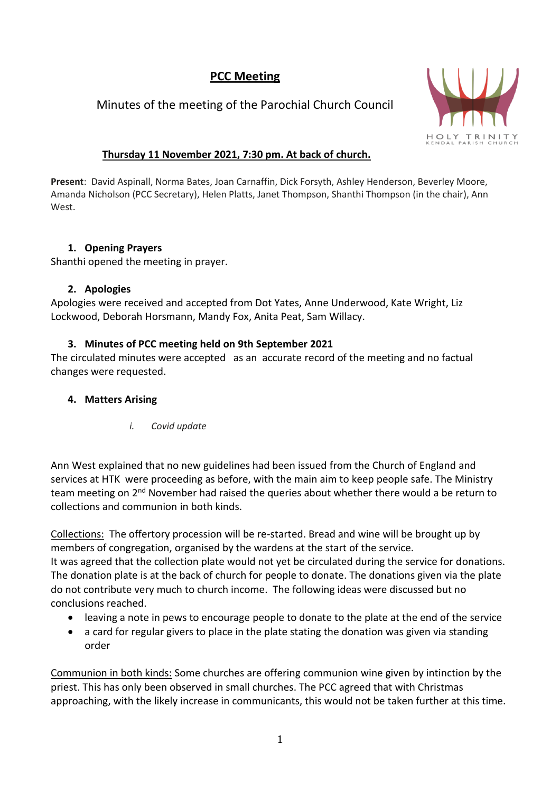# **PCC Meeting**

# Minutes of the meeting of the Parochial Church Council



## **Thursday 11 November 2021, 7:30 pm. At back of church.**

**Present**: David Aspinall, Norma Bates, Joan Carnaffin, Dick Forsyth, Ashley Henderson, Beverley Moore, Amanda Nicholson (PCC Secretary), Helen Platts, Janet Thompson, Shanthi Thompson (in the chair), Ann West.

## **1. Opening Prayers**

Shanthi opened the meeting in prayer.

### **2. Apologies**

Apologies were received and accepted from Dot Yates, Anne Underwood, Kate Wright, Liz Lockwood, Deborah Horsmann, Mandy Fox, Anita Peat, Sam Willacy.

## **3. Minutes of PCC meeting held on 9th September 2021**

The circulated minutes were accepted as an accurate record of the meeting and no factual changes were requested.

## **4. Matters Arising**

*i. Covid update*

Ann West explained that no new guidelines had been issued from the Church of England and services at HTK were proceeding as before, with the main aim to keep people safe. The Ministry team meeting on 2<sup>nd</sup> November had raised the queries about whether there would a be return to collections and communion in both kinds.

Collections: The offertory procession will be re-started. Bread and wine will be brought up by members of congregation, organised by the wardens at the start of the service. It was agreed that the collection plate would not yet be circulated during the service for donations. The donation plate is at the back of church for people to donate. The donations given via the plate do not contribute very much to church income. The following ideas were discussed but no conclusions reached.

- leaving a note in pews to encourage people to donate to the plate at the end of the service
- a card for regular givers to place in the plate stating the donation was given via standing order

Communion in both kinds: Some churches are offering communion wine given by intinction by the priest. This has only been observed in small churches. The PCC agreed that with Christmas approaching, with the likely increase in communicants, this would not be taken further at this time.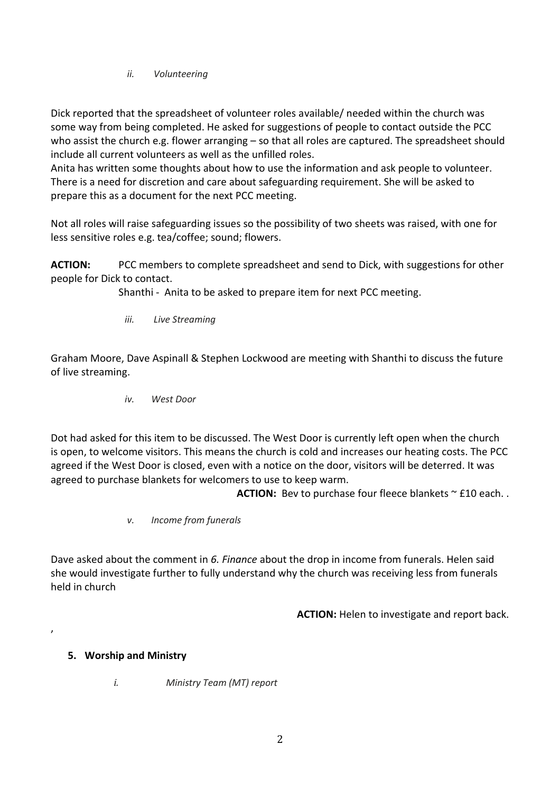*ii. Volunteering*

Dick reported that the spreadsheet of volunteer roles available/ needed within the church was some way from being completed. He asked for suggestions of people to contact outside the PCC who assist the church e.g. flower arranging – so that all roles are captured. The spreadsheet should include all current volunteers as well as the unfilled roles.

Anita has written some thoughts about how to use the information and ask people to volunteer. There is a need for discretion and care about safeguarding requirement. She will be asked to prepare this as a document for the next PCC meeting.

Not all roles will raise safeguarding issues so the possibility of two sheets was raised, with one for less sensitive roles e.g. tea/coffee; sound; flowers.

**ACTION:** PCC members to complete spreadsheet and send to Dick, with suggestions for other people for Dick to contact.

Shanthi - Anita to be asked to prepare item for next PCC meeting.

*iii. Live Streaming*

Graham Moore, Dave Aspinall & Stephen Lockwood are meeting with Shanthi to discuss the future of live streaming.

*iv. West Door*

Dot had asked for this item to be discussed. The West Door is currently left open when the church is open, to welcome visitors. This means the church is cold and increases our heating costs. The PCC agreed if the West Door is closed, even with a notice on the door, visitors will be deterred. It was agreed to purchase blankets for welcomers to use to keep warm.

**ACTION:** Bev to purchase four fleece blankets  $\sim$  £10 each..

*v. Income from funerals*

Dave asked about the comment in *6. Finance* about the drop in income from funerals. Helen said she would investigate further to fully understand why the church was receiving less from funerals held in church

**ACTION:** Helen to investigate and report back.

### **5. Worship and Ministry**

,

*i. Ministry Team (MT) report*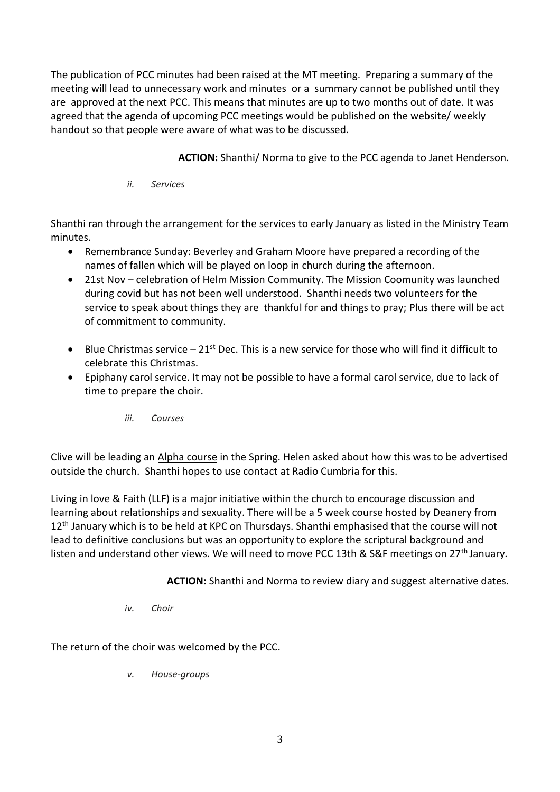The publication of PCC minutes had been raised at the MT meeting. Preparing a summary of the meeting will lead to unnecessary work and minutes or a summary cannot be published until they are approved at the next PCC. This means that minutes are up to two months out of date. It was agreed that the agenda of upcoming PCC meetings would be published on the website/ weekly handout so that people were aware of what was to be discussed.

**ACTION:** Shanthi/ Norma to give to the PCC agenda to Janet Henderson.

*ii. Services*

Shanthi ran through the arrangement for the services to early January as listed in the Ministry Team minutes.

- Remembrance Sunday: Beverley and Graham Moore have prepared a recording of the names of fallen which will be played on loop in church during the afternoon.
- 21st Nov celebration of Helm Mission Community. The Mission Coomunity was launched during covid but has not been well understood. Shanthi needs two volunteers for the service to speak about things they are thankful for and things to pray; Plus there will be act of commitment to community.
- Blue Christmas service  $-21^{st}$  Dec. This is a new service for those who will find it difficult to celebrate this Christmas.
- Epiphany carol service. It may not be possible to have a formal carol service, due to lack of time to prepare the choir.
	- *iii. Courses*

Clive will be leading an Alpha course in the Spring. Helen asked about how this was to be advertised outside the church. Shanthi hopes to use contact at Radio Cumbria for this.

Living in love & Faith (LLF) is a major initiative within the church to encourage discussion and learning about relationships and sexuality. There will be a 5 week course hosted by Deanery from 12<sup>th</sup> January which is to be held at KPC on Thursdays. Shanthi emphasised that the course will not lead to definitive conclusions but was an opportunity to explore the scriptural background and listen and understand other views. We will need to move PCC 13th & S&F meetings on 27<sup>th</sup> January.

**ACTION:** Shanthi and Norma to review diary and suggest alternative dates.

*iv. Choir*

The return of the choir was welcomed by the PCC.

*v. House-groups*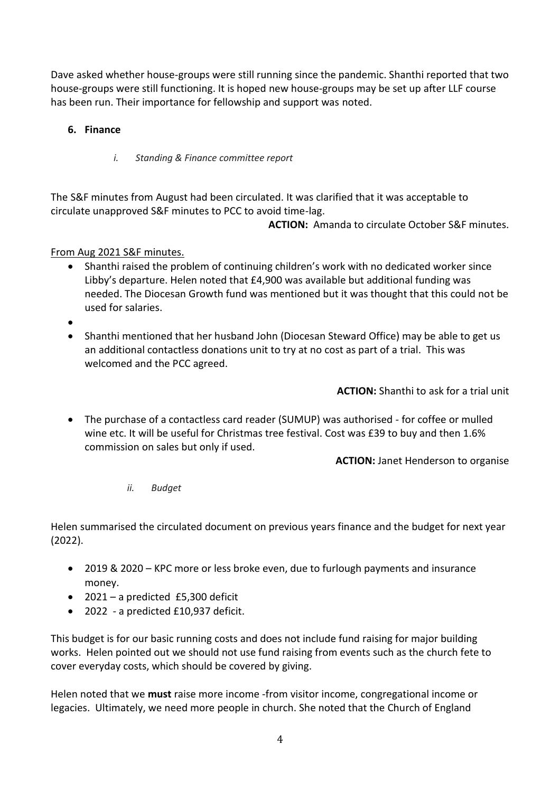Dave asked whether house-groups were still running since the pandemic. Shanthi reported that two house-groups were still functioning. It is hoped new house-groups may be set up after LLF course has been run. Their importance for fellowship and support was noted.

## **6. Finance**

*i. Standing & Finance committee report*

The S&F minutes from August had been circulated. It was clarified that it was acceptable to circulate unapproved S&F minutes to PCC to avoid time-lag.

**ACTION:** Amanda to circulate October S&F minutes.

From Aug 2021 S&F minutes.

- Shanthi raised the problem of continuing children's work with no dedicated worker since Libby's departure. Helen noted that £4,900 was available but additional funding was needed. The Diocesan Growth fund was mentioned but it was thought that this could not be used for salaries.
- •
- Shanthi mentioned that her husband John (Diocesan Steward Office) may be able to get us an additional contactless donations unit to try at no cost as part of a trial. This was welcomed and the PCC agreed.

**ACTION:** Shanthi to ask for a trial unit

• The purchase of a contactless card reader (SUMUP) was authorised - for coffee or mulled wine etc. It will be useful for Christmas tree festival. Cost was £39 to buy and then 1.6% commission on sales but only if used.

**ACTION:** Janet Henderson to organise

*ii. Budget*

Helen summarised the circulated document on previous years finance and the budget for next year (2022).

- 2019 & 2020 KPC more or less broke even, due to furlough payments and insurance money.
- 2021 a predicted £5,300 deficit
- 2022 a predicted £10,937 deficit.

This budget is for our basic running costs and does not include fund raising for major building works. Helen pointed out we should not use fund raising from events such as the church fete to cover everyday costs, which should be covered by giving.

Helen noted that we **must** raise more income -from visitor income, congregational income or legacies. Ultimately, we need more people in church. She noted that the Church of England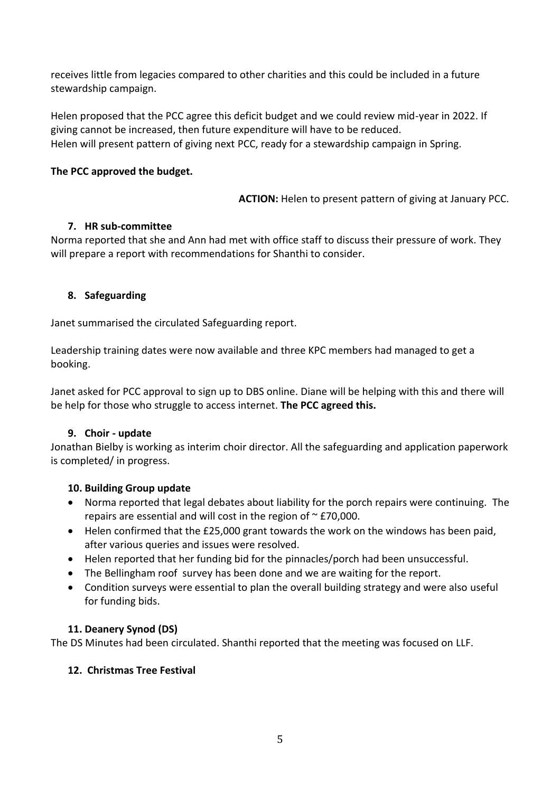receives little from legacies compared to other charities and this could be included in a future stewardship campaign.

Helen proposed that the PCC agree this deficit budget and we could review mid-year in 2022. If giving cannot be increased, then future expenditure will have to be reduced. Helen will present pattern of giving next PCC, ready for a stewardship campaign in Spring.

#### **The PCC approved the budget.**

**ACTION:** Helen to present pattern of giving at January PCC.

#### **7. HR sub-committee**

Norma reported that she and Ann had met with office staff to discuss their pressure of work. They will prepare a report with recommendations for Shanthi to consider.

### **8. Safeguarding**

Janet summarised the circulated Safeguarding report.

Leadership training dates were now available and three KPC members had managed to get a booking.

Janet asked for PCC approval to sign up to DBS online. Diane will be helping with this and there will be help for those who struggle to access internet. **The PCC agreed this.**

#### **9. Choir - update**

Jonathan Bielby is working as interim choir director. All the safeguarding and application paperwork is completed/ in progress.

#### **10. Building Group update**

- Norma reported that legal debates about liability for the porch repairs were continuing. The repairs are essential and will cost in the region of  $\sim$  £70,000.
- Helen confirmed that the £25,000 grant towards the work on the windows has been paid, after various queries and issues were resolved.
- Helen reported that her funding bid for the pinnacles/porch had been unsuccessful.
- The Bellingham roof survey has been done and we are waiting for the report.
- Condition surveys were essential to plan the overall building strategy and were also useful for funding bids.

### **11. Deanery Synod (DS)**

The DS Minutes had been circulated. Shanthi reported that the meeting was focused on LLF.

### **12. Christmas Tree Festival**